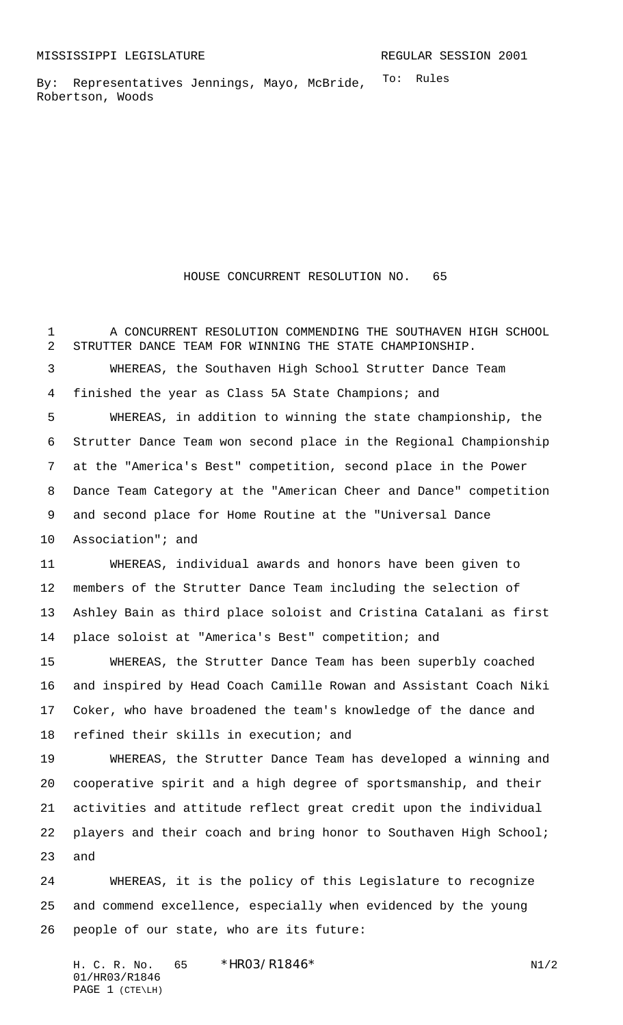To: Rules By: Representatives Jennings, Mayo, McBride, Robertson, Woods

## HOUSE CONCURRENT RESOLUTION NO. 65

 A CONCURRENT RESOLUTION COMMENDING THE SOUTHAVEN HIGH SCHOOL STRUTTER DANCE TEAM FOR WINNING THE STATE CHAMPIONSHIP. WHEREAS, the Southaven High School Strutter Dance Team finished the year as Class 5A State Champions; and WHEREAS, in addition to winning the state championship, the Strutter Dance Team won second place in the Regional Championship at the "America's Best" competition, second place in the Power Dance Team Category at the "American Cheer and Dance" competition and second place for Home Routine at the "Universal Dance Association"; and WHEREAS, individual awards and honors have been given to members of the Strutter Dance Team including the selection of Ashley Bain as third place soloist and Cristina Catalani as first place soloist at "America's Best" competition; and WHEREAS, the Strutter Dance Team has been superbly coached and inspired by Head Coach Camille Rowan and Assistant Coach Niki Coker, who have broadened the team's knowledge of the dance and refined their skills in execution; and WHEREAS, the Strutter Dance Team has developed a winning and cooperative spirit and a high degree of sportsmanship, and their activities and attitude reflect great credit upon the individual 22 players and their coach and bring honor to Southaven High School; and

 WHEREAS, it is the policy of this Legislature to recognize and commend excellence, especially when evidenced by the young people of our state, who are its future:

H. C. R. No.  $65 * HRO3/R1846*$  N1/2 01/HR03/R1846 PAGE 1 (CTE\LH)